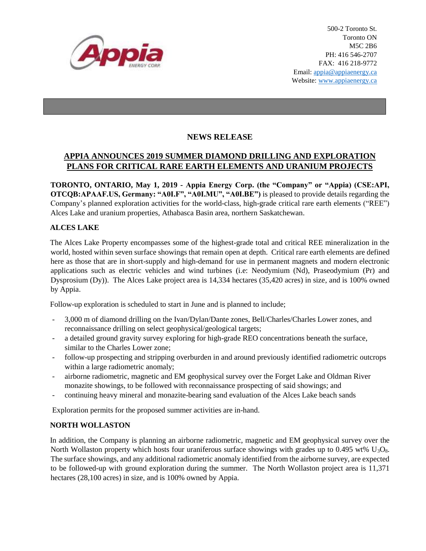

## **NEWS RELEASE**

# **APPIA ANNOUNCES 2019 SUMMER DIAMOND DRILLING AND EXPLORATION PLANS FOR CRITICAL RARE EARTH ELEMENTS AND URANIUM PROJECTS**

**TORONTO, ONTARIO, May 1, 2019 - Appia Energy Corp. (the "Company" or "Appia) (CSE:API, OTCQB:APAAF.US, Germany: "A0I.F", "A0I.MU", "A0I.BE")** is pleased to provide details regarding the Company's planned exploration activities for the world-class, high-grade critical rare earth elements ("REE") Alces Lake and uranium properties, Athabasca Basin area, northern Saskatchewan.

### **ALCES LAKE**

The Alces Lake Property encompasses some of the highest-grade total and critical REE mineralization in the world, hosted within seven surface showings that remain open at depth. Critical rare earth elements are defined here as those that are in short-supply and high-demand for use in permanent magnets and modern electronic applications such as electric vehicles and wind turbines (i.e: Neodymium (Nd), Praseodymium (Pr) and Dysprosium (Dy)). The Alces Lake project area is 14,334 hectares (35,420 acres) in size, and is 100% owned by Appia.

Follow-up exploration is scheduled to start in June and is planned to include;

- 3,000 m of diamond drilling on the Ivan/Dylan/Dante zones, Bell/Charles/Charles Lower zones, and reconnaissance drilling on select geophysical/geological targets;
- a detailed ground gravity survey exploring for high-grade REO concentrations beneath the surface, similar to the Charles Lower zone;
- follow-up prospecting and stripping overburden in and around previously identified radiometric outcrops within a large radiometric anomaly;
- airborne radiometric, magnetic and EM geophysical survey over the Forget Lake and Oldman River monazite showings, to be followed with reconnaissance prospecting of said showings; and
- continuing heavy mineral and monazite-bearing sand evaluation of the Alces Lake beach sands

Exploration permits for the proposed summer activities are in-hand.

#### **NORTH WOLLASTON**

In addition, the Company is planning an airborne radiometric, magnetic and EM geophysical survey over the North Wollaston property which hosts four uraniferous surface showings with grades up to 0.495 wt%  $U_3O_8$ . The surface showings, and any additional radiometric anomaly identified from the airborne survey, are expected to be followed-up with ground exploration during the summer. The North Wollaston project area is 11,371 hectares (28,100 acres) in size, and is 100% owned by Appia.